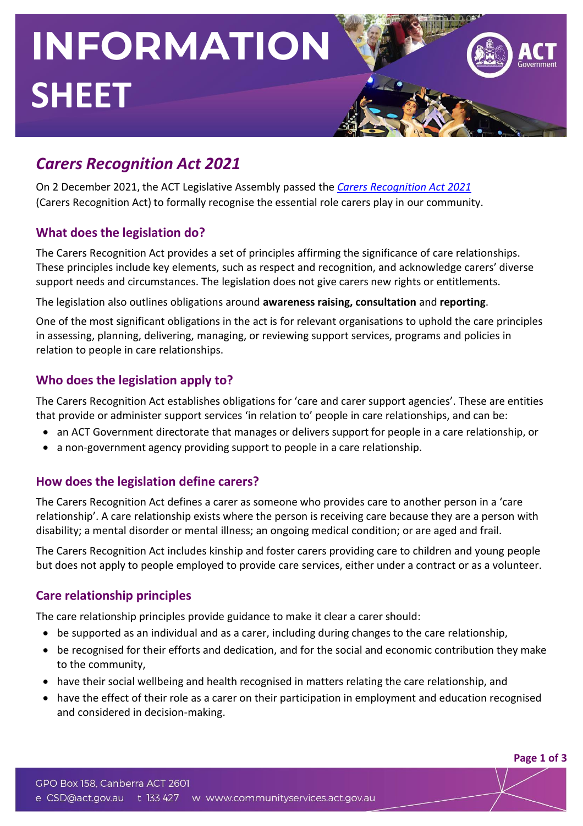# **INFORMATION SHEET**

# *Carers Recognition Act 2021*

On 2 December 2021, the ACT Legislative Assembly passed the *Carers [Recognition](https://www.legislation.act.gov.au/a/2021-34/) Act 2021* (Carers Recognition Act) to formally recognise the essential role carers play in our community.

## **What does the legislation do?**

The Carers Recognition Act provides a set of principles affirming the significance of care relationships. These principles include key elements, such as respect and recognition, and acknowledge carers' diverse support needs and circumstances. The legislation does not give carers new rights or entitlements.

The legislation also outlines obligations around **awareness raising, consultation** and **reporting**.

One of the most significant obligations in the act is for relevant organisations to uphold the care principles in assessing, planning, delivering, managing, or reviewing support services, programs and policies in relation to people in care relationships.

## **Who does the legislation apply to?**

The Carers Recognition Act establishes obligations for 'care and carer support agencies'. These are entities that provide or administer support services 'in relation to' people in care relationships, and can be:

- an ACT Government directorate that manages or delivers support for people in a care relationship, or
- a non-government agency providing support to people in a care relationship.

# **How does the legislation define carers?**

The Carers Recognition Act defines a carer as someone who provides care to another person in a 'care relationship'. A care relationship exists where the person is receiving care because they are a person with disability; a mental disorder or mental illness; an ongoing medical condition; or are aged and frail.

The Carers Recognition Act includes kinship and foster carers providing care to children and young people but does not apply to people employed to provide care services, either under a contract or as a volunteer.

# **Care relationship principles**

The care relationship principles provide guidance to make it clear a carer should:

- be supported as an individual and as a carer, including during changes to the care relationship,
- be recognised for their efforts and dedication, and for the social and economic contribution they make to the community,
- have their social wellbeing and health recognised in matters relating the care relationship, and
- have the effect of their role as a carer on their participation in employment and education recognised and considered in decision-making.

**Page 1 of 3**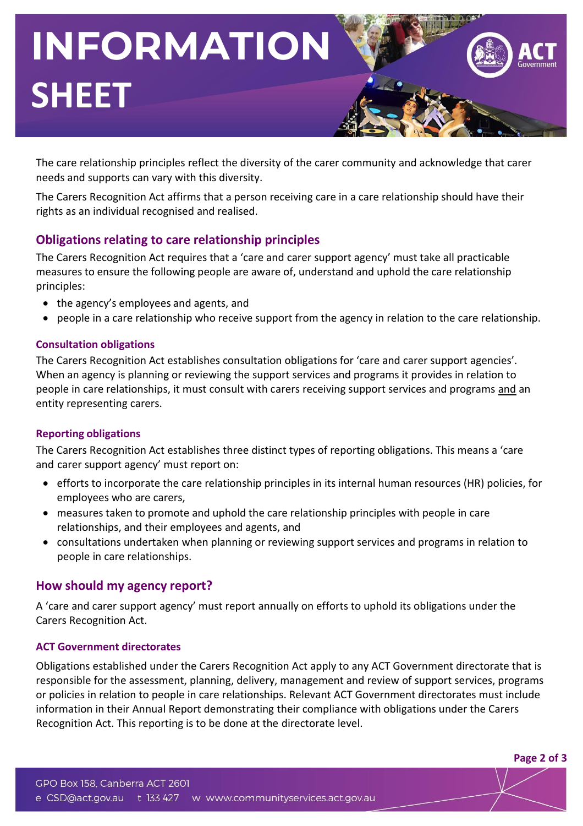# **INFORMATION SHEET**



**Page 2 of 3**

The care relationship principles reflect the diversity of the carer community and acknowledge that carer needs and supports can vary with this diversity.

The Carers Recognition Act affirms that a person receiving care in a care relationship should have their rights as an individual recognised and realised.

## **Obligations relating to care relationship principles**

The Carers Recognition Act requires that a 'care and carer support agency' must take all practicable measures to ensure the following people are aware of, understand and uphold the care relationship principles:

- the agency's employees and agents, and
- people in a care relationship who receive support from the agency in relation to the care relationship.

#### **Consultation obligations**

The Carers Recognition Act establishes consultation obligations for 'care and carer support agencies'. When an agency is planning or reviewing the support services and programs it provides in relation to people in care relationships, it must consult with carers receiving support services and programs and an entity representing carers.

#### **Reporting obligations**

The Carers Recognition Act establishes three distinct types of reporting obligations. This means a 'care and carer support agency' must report on:

- efforts to incorporate the care relationship principles in its internal human resources (HR) policies, for employees who are carers,
- measures taken to promote and uphold the care relationship principles with people in care relationships, and their employees and agents, and
- consultations undertaken when planning or reviewing support services and programs in relation to people in care relationships.

#### **How should my agency report?**

A 'care and carer support agency' must report annually on efforts to uphold its obligations under the Carers Recognition Act.

#### **ACT Government directorates**

Obligations established under the Carers Recognition Act apply to any ACT Government directorate that is responsible for the assessment, planning, delivery, management and review of support services, programs or policies in relation to people in care relationships. Relevant ACT Government directorates must include information in their Annual Report demonstrating their compliance with obligations under the Carers Recognition Act. This reporting is to be done at the directorate level.